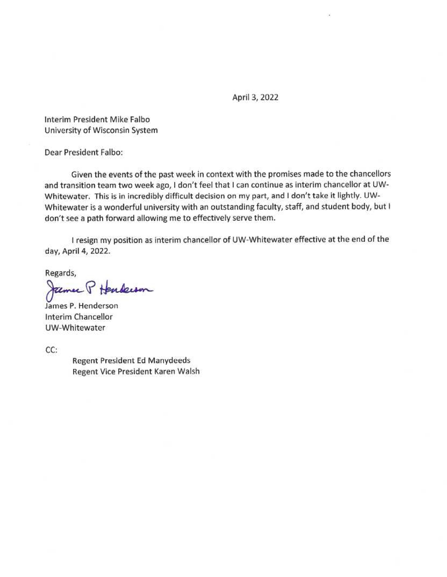April 3, 2022

Interim President Mike Falbo University of Wisconsin System

Dear President Falbo:

Given the events of the past week in context with the promises made to the chancellors and transition team two week ago, I don't feel that I can continue as interim chancellor at UW-Whitewater. This is in incredibly difficult decision on my part, and I don't take it lightly. UW-Whitewater is a wonderful university with an outstanding faculty, staff, and student body, but I don't see a path forward allowing me to effectively serve them.

I resign my position as interim chancellor of UW-Whitewater effective at the end of the day, April 4, 2022.

Regards,

James P Henderson

James P. Henderson Interim Chancellor UW-Whitewater

 $CC:$ 

**Regent President Ed Manydeeds** Regent Vice President Karen Walsh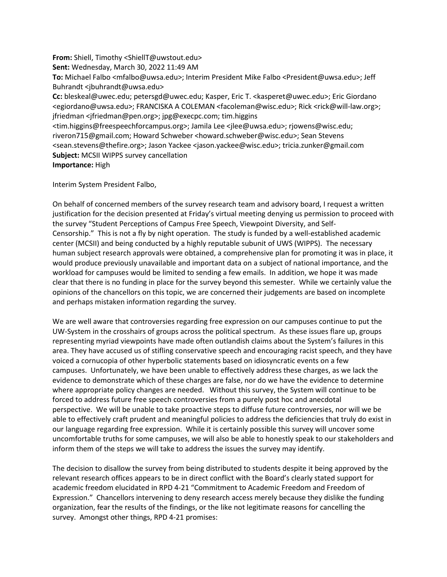**From:** Shiell, Timothy <ShiellT@uwstout.edu> **Sent:** Wednesday, March 30, 2022 11:49 AM **To:** Michael Falbo <mfalbo@uwsa.edu>; Interim President Mike Falbo <President@uwsa.edu>; Jeff Buhrandt <jbuhrandt@uwsa.edu> **Cc:** bleskeal@uwec.edu; petersgd@uwec.edu; Kasper, Eric T. <kasperet@uwec.edu>; Eric Giordano <egiordano@uwsa.edu>; FRANCISKA A COLEMAN <facoleman@wisc.edu>; Rick <rick@will-law.org>; jfriedman <jfriedman@pen.org>; jpg@execpc.com; tim.higgins <tim.higgins@freespeechforcampus.org>; Jamila Lee <jlee@uwsa.edu>; rjowens@wisc.edu; riveron715@gmail.com; Howard Schweber <howard.schweber@wisc.edu>; Sean Stevens <sean.stevens@thefire.org>; Jason Yackee <jason.yackee@wisc.edu>; tricia.zunker@gmail.com

**Subject:** MCSII WIPPS survey cancellation

## **Importance:** High

Interim System President Falbo,

On behalf of concerned members of the survey research team and advisory board, I request a written justification for the decision presented at Friday's virtual meeting denying us permission to proceed with the survey "Student Perceptions of Campus Free Speech, Viewpoint Diversity, and Self-Censorship." This is not a fly by night operation. The study is funded by a well-established academic center (MCSII) and being conducted by a highly reputable subunit of UWS (WIPPS). The necessary human subject research approvals were obtained, a comprehensive plan for promoting it was in place, it would produce previously unavailable and important data on a subject of national importance, and the workload for campuses would be limited to sending a few emails. In addition, we hope it was made clear that there is no funding in place for the survey beyond this semester. While we certainly value the opinions of the chancellors on this topic, we are concerned their judgements are based on incomplete and perhaps mistaken information regarding the survey.

We are well aware that controversies regarding free expression on our campuses continue to put the UW-System in the crosshairs of groups across the political spectrum. As these issues flare up, groups representing myriad viewpoints have made often outlandish claims about the System's failures in this area. They have accused us of stifling conservative speech and encouraging racist speech, and they have voiced a cornucopia of other hyperbolic statements based on idiosyncratic events on a few campuses. Unfortunately, we have been unable to effectively address these charges, as we lack the evidence to demonstrate which of these charges are false, nor do we have the evidence to determine where appropriate policy changes are needed. Without this survey, the System will continue to be forced to address future free speech controversies from a purely post hoc and anecdotal perspective. We will be unable to take proactive steps to diffuse future controversies, nor will we be able to effectively craft prudent and meaningful policies to address the deficiencies that truly do exist in our language regarding free expression. While it is certainly possible this survey will uncover some uncomfortable truths for some campuses, we will also be able to honestly speak to our stakeholders and inform them of the steps we will take to address the issues the survey may identify.

The decision to disallow the survey from being distributed to students despite it being approved by the relevant research offices appears to be in direct conflict with the Board's clearly stated support for academic freedom elucidated in RPD 4-21 "Commitment to Academic Freedom and Freedom of Expression." Chancellors intervening to deny research access merely because they dislike the funding organization, fear the results of the findings, or the like not legitimate reasons for cancelling the survey. Amongst other things, RPD 4-21 promises: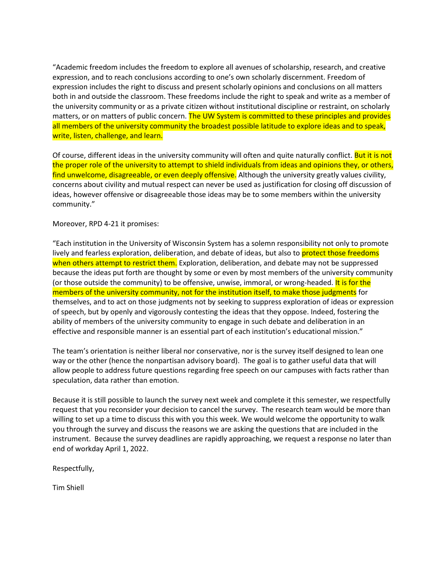"Academic freedom includes the freedom to explore all avenues of scholarship, research, and creative expression, and to reach conclusions according to one's own scholarly discernment. Freedom of expression includes the right to discuss and present scholarly opinions and conclusions on all matters both in and outside the classroom. These freedoms include the right to speak and write as a member of the university community or as a private citizen without institutional discipline or restraint, on scholarly matters, or on matters of public concern. The UW System is committed to these principles and provides all members of the university community the broadest possible latitude to explore ideas and to speak, write, listen, challenge, and learn.

Of course, different ideas in the university community will often and quite naturally conflict. But it is not the proper role of the university to attempt to shield individuals from ideas and opinions they, or others, find unwelcome, disagreeable, or even deeply offensive. Although the university greatly values civility, concerns about civility and mutual respect can never be used as justification for closing off discussion of ideas, however offensive or disagreeable those ideas may be to some members within the university community."

Moreover, RPD 4-21 it promises:

"Each institution in the University of Wisconsin System has a solemn responsibility not only to promote lively and fearless exploration, deliberation, and debate of ideas, but also to protect those freedoms when others attempt to restrict them. Exploration, deliberation, and debate may not be suppressed because the ideas put forth are thought by some or even by most members of the university community (or those outside the community) to be offensive, unwise, immoral, or wrong-headed. It is for the members of the university community, not for the institution itself, to make those judgments for themselves, and to act on those judgments not by seeking to suppress exploration of ideas or expression of speech, but by openly and vigorously contesting the ideas that they oppose. Indeed, fostering the ability of members of the university community to engage in such debate and deliberation in an effective and responsible manner is an essential part of each institution's educational mission."

The team's orientation is neither liberal nor conservative, nor is the survey itself designed to lean one way or the other (hence the nonpartisan advisory board). The goal is to gather useful data that will allow people to address future questions regarding free speech on our campuses with facts rather than speculation, data rather than emotion.

Because it is still possible to launch the survey next week and complete it this semester, we respectfully request that you reconsider your decision to cancel the survey. The research team would be more than willing to set up a time to discuss this with you this week. We would welcome the opportunity to walk you through the survey and discuss the reasons we are asking the questions that are included in the instrument. Because the survey deadlines are rapidly approaching, we request a response no later than end of workday April 1, 2022.

Respectfully,

Tim Shiell